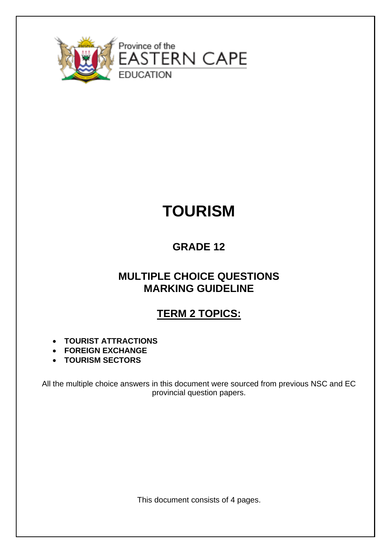

# **TOURISM**

### **GRADE 12**

#### **MULTIPLE CHOICE QUESTIONS MARKING GUIDELINE**

# **TERM 2 TOPICS:**

- **TOURIST ATTRACTIONS**
- **FOREIGN EXCHANGE**
- **TOURISM SECTORS**

All the multiple choice answers in this document were sourced from previous NSC and EC provincial question papers.

This document consists of 4 pages.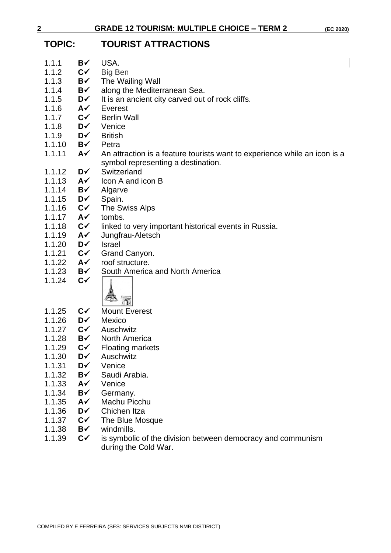**2 GRADE 12 TOURISM: MULTIPLE CHOICE – TERM 2 (EC 2020)**

# **TOPIC: TOURIST ATTRACTIONS**

| 1.1.1  | B✓               | USA.                                                                      |  |
|--------|------------------|---------------------------------------------------------------------------|--|
| 1.1.2  | $C\checkmark$    | <b>Big Ben</b>                                                            |  |
| 1.1.3  | B√               | The Wailing Wall                                                          |  |
| 1.1.4  | B√               | along the Mediterranean Sea.                                              |  |
| 1.1.5  | D√               | It is an ancient city carved out of rock cliffs.                          |  |
| 1.1.6  | A✓               | Everest                                                                   |  |
| 1.1.7  | $C\checkmark$    | <b>Berlin Wall</b>                                                        |  |
| 1.1.8  | D√               | Venice                                                                    |  |
| 1.1.9  | D√               | <b>British</b>                                                            |  |
| 1.1.10 | B√               | Petra                                                                     |  |
| 1.1.11 | $A\checkmark$    | An attraction is a feature tourists want to experience while an icon is a |  |
|        |                  | symbol representing a destination.                                        |  |
| 1.1.12 | D√               | Switzerland                                                               |  |
| 1.1.13 | A✓               | Icon A and icon B                                                         |  |
| 1.1.14 | B√               | Algarve                                                                   |  |
| 1.1.15 | D√               | Spain.                                                                    |  |
| 1.1.16 | $C\checkmark$    | The Swiss Alps                                                            |  |
| 1.1.17 | $A\checkmark$    | tombs.                                                                    |  |
| 1.1.18 | $C\checkmark$    | linked to very important historical events in Russia.                     |  |
| 1.1.19 | A✓               | Jungfrau-Aletsch                                                          |  |
| 1.1.20 | D√               | <b>Israel</b>                                                             |  |
| 1.1.21 | $C\checkmark$    | Grand Canyon.                                                             |  |
| 1.1.22 | $A\checkmark$    | roof structure.                                                           |  |
| 1.1.23 | B√               | South America and North America                                           |  |
| 1.1.24 | $C\checkmark$    |                                                                           |  |
|        |                  |                                                                           |  |
|        |                  | 酒                                                                         |  |
| 1.1.25 | $C\checkmark$    | <b>Mount Everest</b>                                                      |  |
| 1.1.26 | D√               | Mexico                                                                    |  |
| 1.1.27 | $C\checkmark$    | Auschwitz                                                                 |  |
| 1.1.28 | B√               | <b>North America</b>                                                      |  |
| 1.1.29 | $C\checkmark$    |                                                                           |  |
| 1.1.30 | D✓               | <b>Floating markets</b><br>Auschwitz                                      |  |
| 1.1.31 | D✓               | Venice                                                                    |  |
| 1.1.32 | B√               | Saudi Arabia.                                                             |  |
| 1.1.33 | A✓               | Venice                                                                    |  |
| 1.1.34 | B√               |                                                                           |  |
|        |                  | Germany.<br>Machu Picchu                                                  |  |
| 1.1.35 | A✓<br>D√         | Chichen Itza                                                              |  |
| 1.1.36 | $C\checkmark$    |                                                                           |  |
| 1.1.37 | B✓               | The Blue Mosque<br>windmills.                                             |  |
| 1.1.38 |                  |                                                                           |  |
| 1.1.39 | $C^{\checkmark}$ | is symbolic of the division between democracy and communism               |  |
|        |                  | during the Cold War.                                                      |  |
|        |                  |                                                                           |  |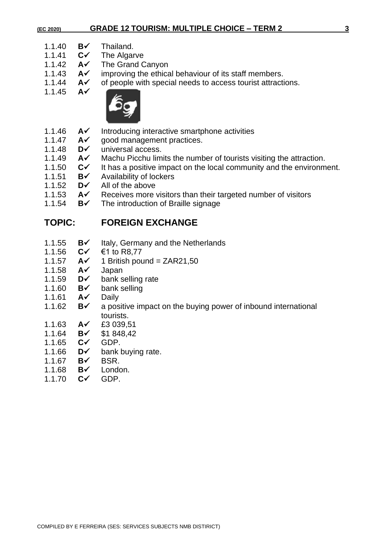#### **(EC 2020) GRADE 12 TOURISM: MULTIPLE CHOICE – TERM 2 3**

- 1.1.40 **B✓** Thailand.<br>1.1.41 **C✓** The Algar
- 1.1.41 **C**✓ The Algarve
- 1.1.42 **A**✓ The Grand Canyon
- 1.1.43 **A**✓ improving the ethical behaviour of its staff members.
- 1.1.44 **A**✓ of people with special needs to access tourist attractions.<br>1.1.45 **A**✓
- 1.1.45 **A**✓



- 1.1.46 **A**✓ Introducing interactive smartphone activities
- 1.1.47 **A**<del>✓</del> good management practices.
- 1.1.48 **D**✓ universal access.
- 1.1.49 **A**✓ Machu Picchu limits the number of tourists visiting the attraction.
- 1.1.50 **C**✓ It has a positive impact on the local community and the environment.<br>1.1.51 **B**✓ Availability of lockers
- 1.1.51 **B**✓ Availability of lockers
- 1.1.52 **D**✓ All of the above
- 1.1.53 **A**✓ Receives more visitors than their targeted number of visitors
- 1.1.54 **B**✓ The introduction of Braille signage

#### **TOPIC: FOREIGN EXCHANGE**

- 1.1.55 **B**✓ Italy, Germany and the Netherlands
- 1.1.56 **C**✓ €1 to R8,77
- 1.1.57 **A**✓ 1 British pound = ZAR21,50
- 1.1.58 **A**✓ Japan
- 1.1.59 **D**✓ bank selling rate
- 1.1.60 **B**✓ bank selling
- 1.1.61 **A**✓ Daily
- 1.1.62 **B**✓ a positive impact on the buying power of inbound international tourists.
- 1.1.63 **A**✓ £3 039,51
- 1.1.64 **B**✓ \$1 848,42
- 1.1.65 **C**✓ GDP.
- 1.1.66 **D**✓ bank buying rate.
- 1.1.67 **B**✓ BSR.
- 1.1.68 **B**✓ London.
- 1.1.70 **C**✓ GDP.